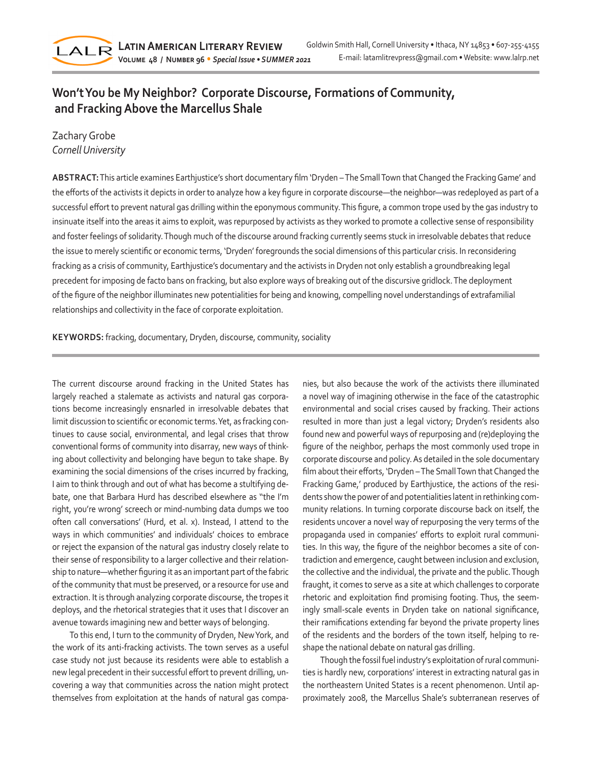

## **Won't You be My Neighbor? Corporate Discourse, Formations of Community, and Fracking Above the Marcellus Shale**

## Zachary Grobe *Cornell University*

**ABSTRACT:** This article examines Earthjustice's short documentary film 'Dryden – The Small Town that Changed the Fracking Game' and the efforts of the activists it depicts in order to analyze how a key figure in corporate discourse—the neighbor—was redeployed as part of a successful effort to prevent natural gas drilling within the eponymous community. This figure, a common trope used by the gas industry to insinuate itself into the areas it aims to exploit, was repurposed by activists as they worked to promote a collective sense of responsibility and foster feelings of solidarity. Though much of the discourse around fracking currently seems stuck in irresolvable debates that reduce the issue to merely scientific or economic terms, 'Dryden' foregrounds the social dimensions of this particular crisis. In reconsidering fracking as a crisis of community, Earthjustice's documentary and the activists in Dryden not only establish a groundbreaking legal precedent for imposing de facto bans on fracking, but also explore ways of breaking out of the discursive gridlock. The deployment of the figure of the neighbor illuminates new potentialities for being and knowing, compelling novel understandings of extrafamilial relationships and collectivity in the face of corporate exploitation.

**KEYWORDS:** fracking, documentary, Dryden, discourse, community, sociality

The current discourse around fracking in the United States has largely reached a stalemate as activists and natural gas corporations become increasingly ensnarled in irresolvable debates that limit discussion to scientific or economic terms. Yet, as fracking continues to cause social, environmental, and legal crises that throw conventional forms of community into disarray, new ways of thinking about collectivity and belonging have begun to take shape. By examining the social dimensions of the crises incurred by fracking, I aim to think through and out of what has become a stultifying debate, one that Barbara Hurd has described elsewhere as ''the I'm right, you're wrong' screech or mind-numbing data dumps we too often call conversations' (Hurd, et al. x). Instead, I attend to the ways in which communities' and individuals' choices to embrace or reject the expansion of the natural gas industry closely relate to their sense of responsibility to a larger collective and their relationship to nature—whether figuring it as an important part of the fabric of the community that must be preserved, or a resource for use and extraction. It is through analyzing corporate discourse, the tropes it deploys, and the rhetorical strategies that it uses that I discover an avenue towards imagining new and better ways of belonging.

To this end, I turn to the community of Dryden, New York, and the work of its anti-fracking activists. The town serves as a useful case study not just because its residents were able to establish a new legal precedent in their successful effort to prevent drilling, uncovering a way that communities across the nation might protect themselves from exploitation at the hands of natural gas companies, but also because the work of the activists there illuminated a novel way of imagining otherwise in the face of the catastrophic environmental and social crises caused by fracking. Their actions resulted in more than just a legal victory; Dryden's residents also found new and powerful ways of repurposing and (re)deploying the figure of the neighbor, perhaps the most commonly used trope in corporate discourse and policy. As detailed in the sole documentary film about their efforts, 'Dryden – The Small Town that Changed the Fracking Game,' produced by Earthjustice, the actions of the residents show the power of and potentialities latent in rethinking community relations. In turning corporate discourse back on itself, the residents uncover a novel way of repurposing the very terms of the propaganda used in companies' efforts to exploit rural communities. In this way, the figure of the neighbor becomes a site of contradiction and emergence, caught between inclusion and exclusion, the collective and the individual, the private and the public. Though fraught, it comes to serve as a site at which challenges to corporate rhetoric and exploitation find promising footing. Thus, the seemingly small-scale events in Dryden take on national significance, their ramifications extending far beyond the private property lines of the residents and the borders of the town itself, helping to reshape the national debate on natural gas drilling.

Though the fossil fuel industry's exploitation of rural communities is hardly new, corporations' interest in extracting natural gas in the northeastern United States is a recent phenomenon. Until approximately 2008, the Marcellus Shale's subterranean reserves of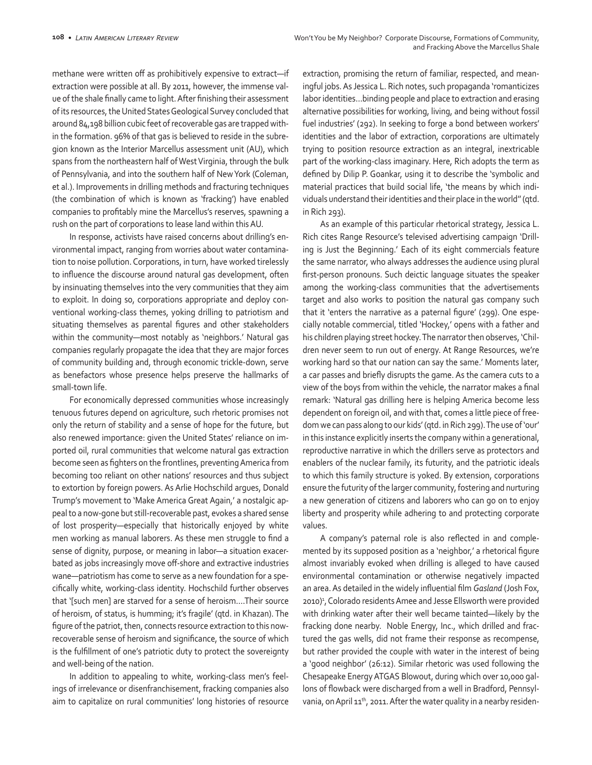methane were written off as prohibitively expensive to extract—if extraction were possible at all. By 2011, however, the immense value of the shale finally came to light. After finishing their assessment of its resources, the United States Geological Survey concluded that around 84,198 billion cubic feet of recoverable gas are trapped within the formation. 96% of that gas is believed to reside in the subregion known as the Interior Marcellus assessment unit (AU), which spans from the northeastern half of West Virginia, through the bulk of Pennsylvania, and into the southern half of New York (Coleman, et al.). Improvements in drilling methods and fracturing techniques (the combination of which is known as 'fracking') have enabled companies to profitably mine the Marcellus's reserves, spawning a rush on the part of corporations to lease land within this AU.

In response, activists have raised concerns about drilling's environmental impact, ranging from worries about water contamination to noise pollution. Corporations, in turn, have worked tirelessly to influence the discourse around natural gas development, often by insinuating themselves into the very communities that they aim to exploit. In doing so, corporations appropriate and deploy conventional working-class themes, yoking drilling to patriotism and situating themselves as parental figures and other stakeholders within the community—most notably as 'neighbors.' Natural gas companies regularly propagate the idea that they are major forces of community building and, through economic trickle-down, serve as benefactors whose presence helps preserve the hallmarks of small-town life.

For economically depressed communities whose increasingly tenuous futures depend on agriculture, such rhetoric promises not only the return of stability and a sense of hope for the future, but also renewed importance: given the United States' reliance on imported oil, rural communities that welcome natural gas extraction become seen as fighters on the frontlines, preventing America from becoming too reliant on other nations' resources and thus subject to extortion by foreign powers. As Arlie Hochschild argues, Donald Trump's movement to 'Make America Great Again,' a nostalgic appeal to a now-gone but still-recoverable past, evokes a shared sense of lost prosperity—especially that historically enjoyed by white men working as manual laborers. As these men struggle to find a sense of dignity, purpose, or meaning in labor—a situation exacerbated as jobs increasingly move off-shore and extractive industries wane—patriotism has come to serve as a new foundation for a specifically white, working-class identity. Hochschild further observes that '[such men] are starved for a sense of heroism.…Their source of heroism, of status, is humming; it's fragile' (qtd. in Khazan). The figure of the patriot, then, connects resource extraction to this nowrecoverable sense of heroism and significance, the source of which is the fulfillment of one's patriotic duty to protect the sovereignty and well-being of the nation.

In addition to appealing to white, working-class men's feelings of irrelevance or disenfranchisement, fracking companies also aim to capitalize on rural communities' long histories of resource

extraction, promising the return of familiar, respected, and meaningful jobs. As Jessica L. Rich notes, such propaganda 'romanticizes labor identities…binding people and place to extraction and erasing alternative possibilities for working, living, and being without fossil fuel industries' (292). In seeking to forge a bond between workers' identities and the labor of extraction, corporations are ultimately trying to position resource extraction as an integral, inextricable part of the working-class imaginary. Here, Rich adopts the term as defined by Dilip P. Goankar, using it to describe the 'symbolic and material practices that build social life, 'the means by which individuals understand their identities and their place in the world'' (qtd. in Rich 293).

As an example of this particular rhetorical strategy, Jessica L. Rich cites Range Resource's televised advertising campaign 'Drilling is Just the Beginning.' Each of its eight commercials feature the same narrator, who always addresses the audience using plural first-person pronouns. Such deictic language situates the speaker among the working-class communities that the advertisements target and also works to position the natural gas company such that it 'enters the narrative as a paternal figure' (299). One especially notable commercial, titled 'Hockey,' opens with a father and his children playing street hockey. The narrator then observes, 'Children never seem to run out of energy. At Range Resources, we're working hard so that our nation can say the same.' Moments later, a car passes and briefly disrupts the game. As the camera cuts to a view of the boys from within the vehicle, the narrator makes a final remark: 'Natural gas drilling here is helping America become less dependent on foreign oil, and with that, comes a little piece of freedom we can pass along to our kids' (qtd. in Rich 299). The use of 'our' in this instance explicitly inserts the company within a generational, reproductive narrative in which the drillers serve as protectors and enablers of the nuclear family, its futurity, and the patriotic ideals to which this family structure is yoked. By extension, corporations ensure the futurity of the larger community, fostering and nurturing a new generation of citizens and laborers who can go on to enjoy liberty and prosperity while adhering to and protecting corporate values.

A company's paternal role is also reflected in and complemented by its supposed position as a 'neighbor,' a rhetorical figure almost invariably evoked when drilling is alleged to have caused environmental contamination or otherwise negatively impacted an area. As detailed in the widely influential film *Gasland* (Josh Fox, 2010)<sup>1</sup>, Colorado residents Amee and Jesse Ellsworth were provided with drinking water after their well became tainted—likely by the fracking done nearby. Noble Energy, Inc., which drilled and fractured the gas wells, did not frame their response as recompense, but rather provided the couple with water in the interest of being a 'good neighbor' (26:12). Similar rhetoric was used following the Chesapeake Energy ATGAS Blowout, during which over 10,000 gallons of flowback were discharged from a well in Bradford, Pennsylvania, on April  $11<sup>th</sup>$ , 2011. After the water quality in a nearby residen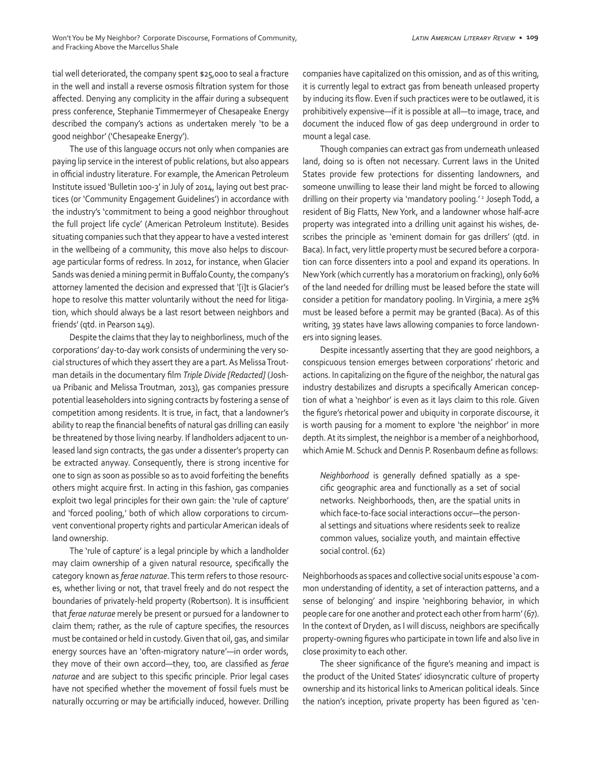tial well deteriorated, the company spent \$25,000 to seal a fracture in the well and install a reverse osmosis filtration system for those affected. Denying any complicity in the affair during a subsequent press conference, Stephanie Timmermeyer of Chesapeake Energy described the company's actions as undertaken merely 'to be a good neighbor' ('Chesapeake Energy').

The use of this language occurs not only when companies are paying lip service in the interest of public relations, but also appears in official industry literature. For example, the American Petroleum Institute issued 'Bulletin 100-3' in July of 2014, laying out best practices (or 'Community Engagement Guidelines') in accordance with the industry's 'commitment to being a good neighbor throughout the full project life cycle' (American Petroleum Institute). Besides situating companies such that they appear to have a vested interest in the wellbeing of a community, this move also helps to discourage particular forms of redress. In 2012, for instance, when Glacier Sands was denied a mining permit in Buffalo County, the company's attorney lamented the decision and expressed that '[i]t is Glacier's hope to resolve this matter voluntarily without the need for litigation, which should always be a last resort between neighbors and friends' (qtd. in Pearson 149).

Despite the claims that they lay to neighborliness, much of the corporations' day-to-day work consists of undermining the very social structures of which they assert they are a part. As Melissa Troutman details in the documentary film *Triple Divide [Redacted]* (Joshua Pribanic and Melissa Troutman, 2013), gas companies pressure potential leaseholders into signing contracts by fostering a sense of competition among residents. It is true, in fact, that a landowner's ability to reap the financial benefits of natural gas drilling can easily be threatened by those living nearby. If landholders adjacent to unleased land sign contracts, the gas under a dissenter's property can be extracted anyway. Consequently, there is strong incentive for one to sign as soon as possible so as to avoid forfeiting the benefits others might acquire first. In acting in this fashion, gas companies exploit two legal principles for their own gain: the 'rule of capture' and 'forced pooling,' both of which allow corporations to circumvent conventional property rights and particular American ideals of land ownership.

The 'rule of capture' is a legal principle by which a landholder may claim ownership of a given natural resource, specifically the category known as *ferae naturae*. This term refers to those resources, whether living or not, that travel freely and do not respect the boundaries of privately-held property (Robertson). It is insufficient that *ferae naturae* merely be present or pursued for a landowner to claim them; rather, as the rule of capture specifies, the resources must be contained or held in custody. Given that oil, gas, and similar energy sources have an 'often-migratory nature'—in order words, they move of their own accord—they, too, are classified as *ferae naturae* and are subject to this specific principle. Prior legal cases have not specified whether the movement of fossil fuels must be naturally occurring or may be artificially induced, however. Drilling companies have capitalized on this omission, and as of this writing, it is currently legal to extract gas from beneath unleased property by inducing its flow. Even if such practices were to be outlawed, it is prohibitively expensive—if it is possible at all—to image, trace, and document the induced flow of gas deep underground in order to mount a legal case.

Though companies can extract gas from underneath unleased land, doing so is often not necessary. Current laws in the United States provide few protections for dissenting landowners, and someone unwilling to lease their land might be forced to allowing drilling on their property via 'mandatory pooling.' 2 Joseph Todd, a resident of Big Flatts, New York, and a landowner whose half-acre property was integrated into a drilling unit against his wishes, describes the principle as 'eminent domain for gas drillers' (qtd. in Baca). In fact, very little property must be secured before a corporation can force dissenters into a pool and expand its operations. In New York (which currently has a moratorium on fracking), only 60% of the land needed for drilling must be leased before the state will consider a petition for mandatory pooling. In Virginia, a mere 25% must be leased before a permit may be granted (Baca). As of this writing, 39 states have laws allowing companies to force landowners into signing leases.

Despite incessantly asserting that they are good neighbors, a conspicuous tension emerges between corporations' rhetoric and actions. In capitalizing on the figure of the neighbor, the natural gas industry destabilizes and disrupts a specifically American conception of what a 'neighbor' is even as it lays claim to this role. Given the figure's rhetorical power and ubiquity in corporate discourse, it is worth pausing for a moment to explore 'the neighbor' in more depth. At its simplest, the neighbor is a member of a neighborhood, which Amie M. Schuck and Dennis P. Rosenbaum define as follows:

*Neighborhood* is generally defined spatially as a specific geographic area and functionally as a set of social networks. Neighborhoods, then, are the spatial units in which face-to-face social interactions occur—the personal settings and situations where residents seek to realize common values, socialize youth, and maintain effective social control. (62)

Neighborhoods as spaces and collective social units espouse 'a common understanding of identity, a set of interaction patterns, and a sense of belonging' and inspire 'neighboring behavior, in which people care for one another and protect each other from harm' (67). In the context of Dryden, as I will discuss, neighbors are specifically property-owning figures who participate in town life and also live in close proximity to each other.

The sheer significance of the figure's meaning and impact is the product of the United States' idiosyncratic culture of property ownership and its historical links to American political ideals. Since the nation's inception, private property has been figured as 'cen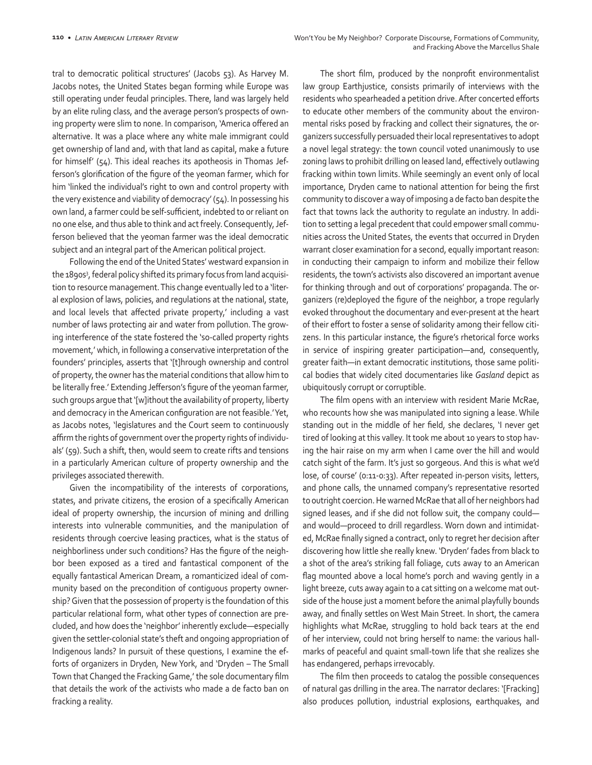tral to democratic political structures' (Jacobs 53). As Harvey M. Jacobs notes, the United States began forming while Europe was still operating under feudal principles. There, land was largely held by an elite ruling class, and the average person's prospects of owning property were slim to none. In comparison, 'America offered an alternative. It was a place where any white male immigrant could get ownership of land and, with that land as capital, make a future for himself' (54). This ideal reaches its apotheosis in Thomas Jefferson's glorification of the figure of the yeoman farmer, which for him 'linked the individual's right to own and control property with the very existence and viability of democracy' (54). In possessing his own land, a farmer could be self-sufficient, indebted to or reliant on no one else, and thus able to think and act freely. Consequently, Jefferson believed that the yeoman farmer was the ideal democratic subject and an integral part of the American political project.

Following the end of the United States' westward expansion in the 1890s3 , federal policy shifted its primary focus from land acquisition to resource management. This change eventually led to a 'literal explosion of laws, policies, and regulations at the national, state, and local levels that affected private property,' including a vast number of laws protecting air and water from pollution. The growing interference of the state fostered the 'so-called property rights movement,' which, in following a conservative interpretation of the founders' principles, asserts that '[t]hrough ownership and control of property, the owner has the material conditions that allow him to be literally free.' Extending Jefferson's figure of the yeoman farmer, such groups argue that '[w]ithout the availability of property, liberty and democracy in the American configuration are not feasible.' Yet, as Jacobs notes, 'legislatures and the Court seem to continuously affirm the rights of government over the property rights of individuals' (59). Such a shift, then, would seem to create rifts and tensions in a particularly American culture of property ownership and the privileges associated therewith.

Given the incompatibility of the interests of corporations, states, and private citizens, the erosion of a specifically American ideal of property ownership, the incursion of mining and drilling interests into vulnerable communities, and the manipulation of residents through coercive leasing practices, what is the status of neighborliness under such conditions? Has the figure of the neighbor been exposed as a tired and fantastical component of the equally fantastical American Dream, a romanticized ideal of community based on the precondition of contiguous property ownership? Given that the possession of property is the foundation of this particular relational form, what other types of connection are precluded, and how does the 'neighbor' inherently exclude—especially given the settler-colonial state's theft and ongoing appropriation of Indigenous lands? In pursuit of these questions, I examine the efforts of organizers in Dryden, New York, and 'Dryden – The Small Town that Changed the Fracking Game,' the sole documentary film that details the work of the activists who made a de facto ban on fracking a reality.

The short film, produced by the nonprofit environmentalist law group Earthjustice, consists primarily of interviews with the residents who spearheaded a petition drive. After concerted efforts to educate other members of the community about the environmental risks posed by fracking and collect their signatures, the organizers successfully persuaded their local representatives to adopt a novel legal strategy: the town council voted unanimously to use zoning laws to prohibit drilling on leased land, effectively outlawing fracking within town limits. While seemingly an event only of local importance, Dryden came to national attention for being the first community to discover a way of imposing a de facto ban despite the fact that towns lack the authority to regulate an industry. In addition to setting a legal precedent that could empower small communities across the United States, the events that occurred in Dryden warrant closer examination for a second, equally important reason: in conducting their campaign to inform and mobilize their fellow residents, the town's activists also discovered an important avenue for thinking through and out of corporations' propaganda. The organizers (re)deployed the figure of the neighbor, a trope regularly evoked throughout the documentary and ever-present at the heart of their effort to foster a sense of solidarity among their fellow citizens. In this particular instance, the figure's rhetorical force works in service of inspiring greater participation—and, consequently, greater faith—in extant democratic institutions, those same political bodies that widely cited documentaries like *Gasland* depict as ubiquitously corrupt or corruptible.

The film opens with an interview with resident Marie McRae, who recounts how she was manipulated into signing a lease. While standing out in the middle of her field, she declares, 'I never get tired of looking at this valley. It took me about 10 years to stop having the hair raise on my arm when I came over the hill and would catch sight of the farm. It's just so gorgeous. And this is what we'd lose, of course' (0:11-0:33). After repeated in-person visits, letters, and phone calls, the unnamed company's representative resorted to outright coercion. He warned McRae that all of her neighbors had signed leases, and if she did not follow suit, the company could and would—proceed to drill regardless. Worn down and intimidated, McRae finally signed a contract, only to regret her decision after discovering how little she really knew. 'Dryden' fades from black to a shot of the area's striking fall foliage, cuts away to an American flag mounted above a local home's porch and waving gently in a light breeze, cuts away again to a cat sitting on a welcome mat outside of the house just a moment before the animal playfully bounds away, and finally settles on West Main Street. In short, the camera highlights what McRae, struggling to hold back tears at the end of her interview, could not bring herself to name: the various hallmarks of peaceful and quaint small-town life that she realizes she has endangered, perhaps irrevocably.

The film then proceeds to catalog the possible consequences of natural gas drilling in the area. The narrator declares: '[Fracking] also produces pollution, industrial explosions, earthquakes, and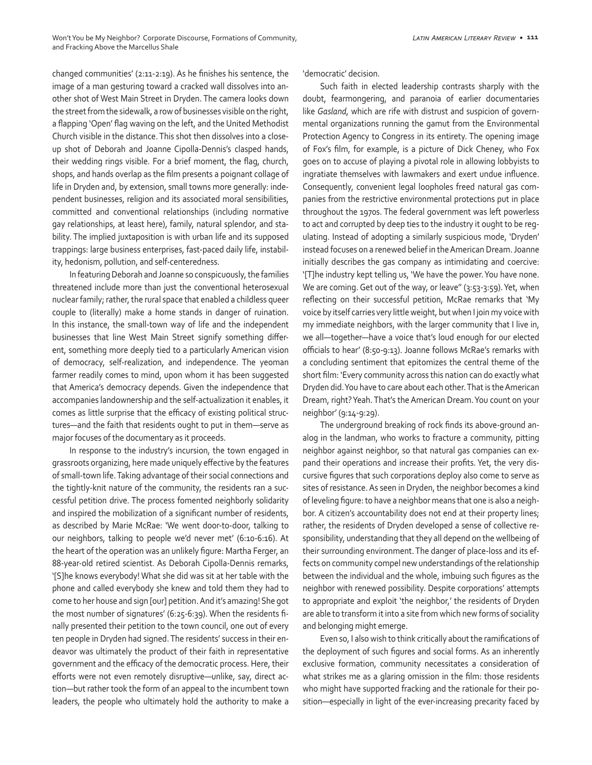changed communities' (2:11-2:19). As he finishes his sentence, the image of a man gesturing toward a cracked wall dissolves into another shot of West Main Street in Dryden. The camera looks down the street from the sidewalk, a row of businesses visible on the right, a flapping 'Open' flag waving on the left, and the United Methodist Church visible in the distance. This shot then dissolves into a closeup shot of Deborah and Joanne Cipolla-Dennis's clasped hands, their wedding rings visible. For a brief moment, the flag, church, shops, and hands overlap as the film presents a poignant collage of life in Dryden and, by extension, small towns more generally: independent businesses, religion and its associated moral sensibilities, committed and conventional relationships (including normative gay relationships, at least here), family, natural splendor, and stability. The implied juxtaposition is with urban life and its supposed trappings: large business enterprises, fast-paced daily life, instability, hedonism, pollution, and self-centeredness.

In featuring Deborah and Joanne so conspicuously, the families threatened include more than just the conventional heterosexual nuclear family; rather, the rural space that enabled a childless queer couple to (literally) make a home stands in danger of ruination. In this instance, the small-town way of life and the independent businesses that line West Main Street signify something different, something more deeply tied to a particularly American vision of democracy, self-realization, and independence. The yeoman farmer readily comes to mind, upon whom it has been suggested that America's democracy depends. Given the independence that accompanies landownership and the self-actualization it enables, it comes as little surprise that the efficacy of existing political structures—and the faith that residents ought to put in them—serve as major focuses of the documentary as it proceeds.

In response to the industry's incursion, the town engaged in grassroots organizing, here made uniquely effective by the features of small-town life. Taking advantage of their social connections and the tightly-knit nature of the community, the residents ran a successful petition drive. The process fomented neighborly solidarity and inspired the mobilization of a significant number of residents, as described by Marie McRae: 'We went door-to-door, talking to our neighbors, talking to people we'd never met' (6:10-6:16). At the heart of the operation was an unlikely figure: Martha Ferger, an 88-year-old retired scientist. As Deborah Cipolla-Dennis remarks, '[S]he knows everybody! What she did was sit at her table with the phone and called everybody she knew and told them they had to come to her house and sign [our] petition. And it's amazing! She got the most number of signatures' (6:25-6:39). When the residents finally presented their petition to the town council, one out of every ten people in Dryden had signed. The residents' success in their endeavor was ultimately the product of their faith in representative government and the efficacy of the democratic process. Here, their efforts were not even remotely disruptive—unlike, say, direct action—but rather took the form of an appeal to the incumbent town leaders, the people who ultimately hold the authority to make a 'democratic' decision.

Such faith in elected leadership contrasts sharply with the doubt, fearmongering, and paranoia of earlier documentaries like *Gasland*, which are rife with distrust and suspicion of governmental organizations running the gamut from the Environmental Protection Agency to Congress in its entirety. The opening image of Fox's film, for example, is a picture of Dick Cheney, who Fox goes on to accuse of playing a pivotal role in allowing lobbyists to ingratiate themselves with lawmakers and exert undue influence. Consequently, convenient legal loopholes freed natural gas companies from the restrictive environmental protections put in place throughout the 1970s. The federal government was left powerless to act and corrupted by deep ties to the industry it ought to be regulating. Instead of adopting a similarly suspicious mode, 'Dryden' instead focuses on a renewed belief in the American Dream. Joanne initially describes the gas company as intimidating and coercive: '[T]he industry kept telling us, 'We have the power. You have none. We are coming. Get out of the way, or leave" (3:53-3:59). Yet, when reflecting on their successful petition, McRae remarks that 'My voice by itself carries very little weight, but when I join my voice with my immediate neighbors, with the larger community that I live in, we all—together—have a voice that's loud enough for our elected officials to hear' (8:50-9:13). Joanne follows McRae's remarks with a concluding sentiment that epitomizes the central theme of the short film: 'Every community across this nation can do exactly what Dryden did. You have to care about each other. That is the American Dream, right? Yeah. That's the American Dream. You count on your neighbor' (9:14-9:29).

The underground breaking of rock finds its above-ground analog in the landman, who works to fracture a community, pitting neighbor against neighbor, so that natural gas companies can expand their operations and increase their profits. Yet, the very discursive figures that such corporations deploy also come to serve as sites of resistance. As seen in Dryden, the neighbor becomes a kind of leveling figure: to have a neighbor means that one is also a neighbor. A citizen's accountability does not end at their property lines; rather, the residents of Dryden developed a sense of collective responsibility, understanding that they all depend on the wellbeing of their surrounding environment. The danger of place-loss and its effects on community compel new understandings of the relationship between the individual and the whole, imbuing such figures as the neighbor with renewed possibility. Despite corporations' attempts to appropriate and exploit 'the neighbor,' the residents of Dryden are able to transform it into a site from which new forms of sociality and belonging might emerge.

Even so, I also wish to think critically about the ramifications of the deployment of such figures and social forms. As an inherently exclusive formation, community necessitates a consideration of what strikes me as a glaring omission in the film: those residents who might have supported fracking and the rationale for their position—especially in light of the ever-increasing precarity faced by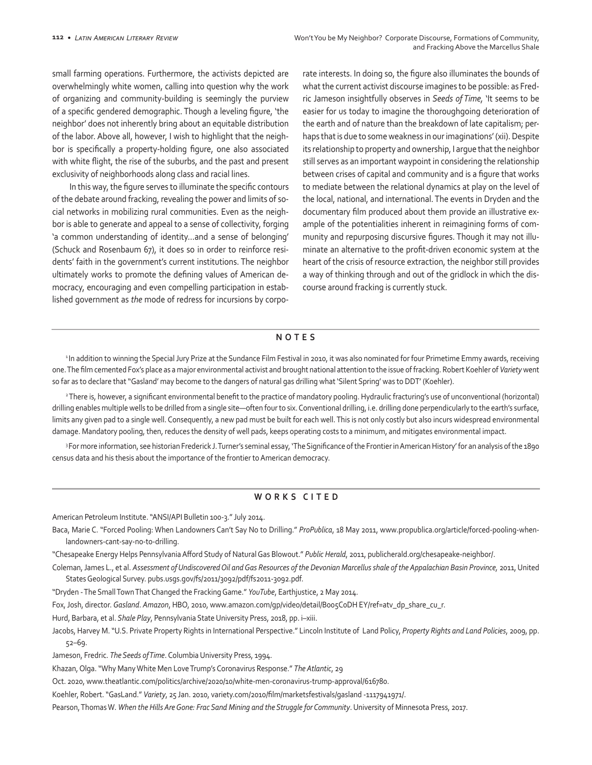small farming operations. Furthermore, the activists depicted are overwhelmingly white women, calling into question why the work of organizing and community-building is seemingly the purview of a specific gendered demographic. Though a leveling figure, 'the neighbor' does not inherently bring about an equitable distribution of the labor. Above all, however, I wish to highlight that the neighbor is specifically a property-holding figure, one also associated with white flight, the rise of the suburbs, and the past and present exclusivity of neighborhoods along class and racial lines.

In this way, the figure serves to illuminate the specific contours of the debate around fracking, revealing the power and limits of social networks in mobilizing rural communities. Even as the neighbor is able to generate and appeal to a sense of collectivity, forging 'a common understanding of identity…and a sense of belonging' (Schuck and Rosenbaum 67), it does so in order to reinforce residents' faith in the government's current institutions. The neighbor ultimately works to promote the defining values of American democracy, encouraging and even compelling participation in established government as *the* mode of redress for incursions by corporate interests. In doing so, the figure also illuminates the bounds of what the current activist discourse imagines to be possible: as Fredric Jameson insightfully observes in *Seeds of Time,* 'It seems to be easier for us today to imagine the thoroughgoing deterioration of the earth and of nature than the breakdown of late capitalism; perhaps that is due to some weakness in our imaginations' (xii). Despite its relationship to property and ownership, I argue that the neighbor still serves as an important waypoint in considering the relationship between crises of capital and community and is a figure that works to mediate between the relational dynamics at play on the level of the local, national, and international. The events in Dryden and the documentary film produced about them provide an illustrative example of the potentialities inherent in reimagining forms of community and repurposing discursive figures. Though it may not illuminate an alternative to the profit-driven economic system at the heart of the crisis of resource extraction, the neighbor still provides a way of thinking through and out of the gridlock in which the discourse around fracking is currently stuck.

## **NOTES**

<sup>1</sup>In addition to winning the Special Jury Prize at the Sundance Film Festival in 2010, it was also nominated for four Primetime Emmy awards, receiving one. The film cemented Fox's place as a major environmental activist and brought national attention to the issue of fracking. Robert Koehler of *Variety* went so far as to declare that ''Gasland' may become to the dangers of natural gas drilling what 'Silent Spring' was to DDT' (Koehler).

<sup>2</sup>There is, however, a significant environmental benefit to the practice of mandatory pooling. Hydraulic fracturing's use of unconventional (horizontal) drilling enables multiple wells to be drilled from a single site—often four to six. Conventional drilling, i.e. drilling done perpendicularly to the earth's surface, limits any given pad to a single well. Consequently, a new pad must be built for each well. This is not only costly but also incurs widespread environmental damage. Mandatory pooling, then, reduces the density of well pads, keeps operating costs to a minimum, and mitigates environmental impact.

<sup>3</sup>For more information, see historian Frederick J. Turner's seminal essay, 'The Significance of the Frontier in American History' for an analysis of the 1890 census data and his thesis about the importance of the frontier to American democracy.

## **WORKS CITED**

American Petroleum Institute. "ANSI/API Bulletin 100-3." July 2014.

- Baca, Marie C. "Forced Pooling: When Landowners Can't Say No to Drilling." *ProPublica*, 18 May 2011, www.propublica.org/article/forced-pooling-whenlandowners-cant-say-no-to-drilling.
- "Chesapeake Energy Helps Pennsylvania Afford Study of Natural Gas Blowout." *Public Herald*, 2011, publicherald.org/chesapeake-neighbor/.
- Coleman, James L., et al. *Assessment of Undiscovered Oil and Gas Resources of the Devonian Marcellus shale of the Appalachian Basin Province,* 2011, United States Geological Survey. pubs.usgs.gov/fs/2011/3092/pdf/fs2011-3092.pdf.
- "Dryden The Small Town That Changed the Fracking Game." *YouTube*, Earthjustice, 2 May 2014.
- Fox, Josh, director. *Gasland*. *Amazon*, HBO, 2010, www.amazon.com/gp/video/detail/B005C0DH EY/ref=atv\_dp\_share\_cu\_r.
- Hurd, Barbara, et al. *Shale Play*, Pennsylvania State University Press, 2018, pp. i–xiii.
- Jacobs, Harvey M. "U.S. Private Property Rights in International Perspective." Lincoln Institute of Land Policy, *Property Rights and Land Policies*, 2009, pp. 52–69.
- Jameson, Fredric. *The Seeds of Time*. Columbia University Press, 1994.
- Khazan, Olga. "Why Many White Men Love Trump's Coronavirus Response." *The Atlantic*, 29
- Oct. 2020, www.theatlantic.com/politics/archive/2020/10/white-men-coronavirus-trump-approval/616780.
- Koehler, Robert. "GasLand." *Variety*, 25 Jan. 2010, variety.com/2010/film/marketsfestivals/gasland -1117941971/.
- Pearson, Thomas W. When the Hills Are Gone: Frac Sand Mining and the Struggle for Community. University of Minnesota Press, 2017.